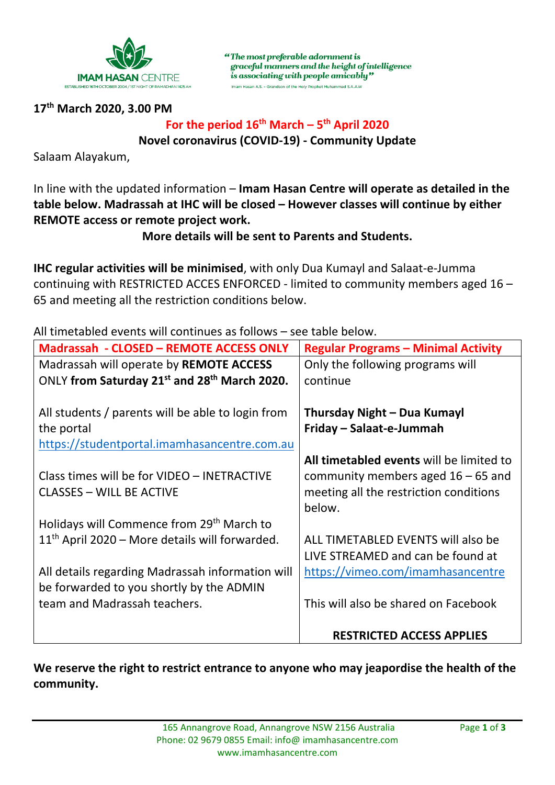

"The most preferable adornment is graceful manners and the height of intelligence is associating with people amicably" Imam Hasan A.S. - Grandson of the Holy Prophet Muhammad S.A.A.W

# **17th March 2020, 3.00 PM**

# For the period  $16^{th}$  March –  $5^{th}$  April 2020 **Novel coronavirus (COVID-19) - Community Update**

Salaam Alayakum,

In line with the updated information – **Imam Hasan Centre will operate as detailed in the table below. Madrassah at IHC will be closed – However classes will continue by either REMOTE access or remote project work.** 

**More details will be sent to Parents and Students.**

**IHC regular activities will be minimised**, with only Dua Kumayl and Salaat-e-Jumma continuing with RESTRICTED ACCES ENFORCED - limited to community members aged 16 – 65 and meeting all the restriction conditions below.

**Madrassah - CLOSED – REMOTE ACCESS ONLY Regular Programs – Minimal Activity**  Madrassah will operate by **REMOTE ACCESS** ONLY **from Saturday 21st and 28th March 2020.** All students / parents will be able to login from the portal [https://studentportal.imamhasancentre.com.au](https://studentportal.imamhasancentre.com.au/) Class times will be for VIDEO – INETRACTIVE CLASSES – WILL BE ACTIVE Holidays will Commence from 29<sup>th</sup> March to 11<sup>th</sup> April 2020 – More details will forwarded. All details regarding Madrassah information will be forwarded to you shortly by the ADMIN team and Madrassah teachers. Only the following programs will continue **Thursday Night – Dua Kumayl Friday – Salaat-e-Jummah All timetabled events** will be limited to community members aged 16 – 65 and meeting all the restriction conditions below. ALL TIMETABLED EVENTS will also be LIVE STREAMED and can be found at <https://vimeo.com/imamhasancentre> This will also be shared on Facebook **RESTRICTED ACCESS APPLIES**

All timetabled events will continues as follows – see table below.

**We reserve the right to restrict entrance to anyone who may jeapordise the health of the community.**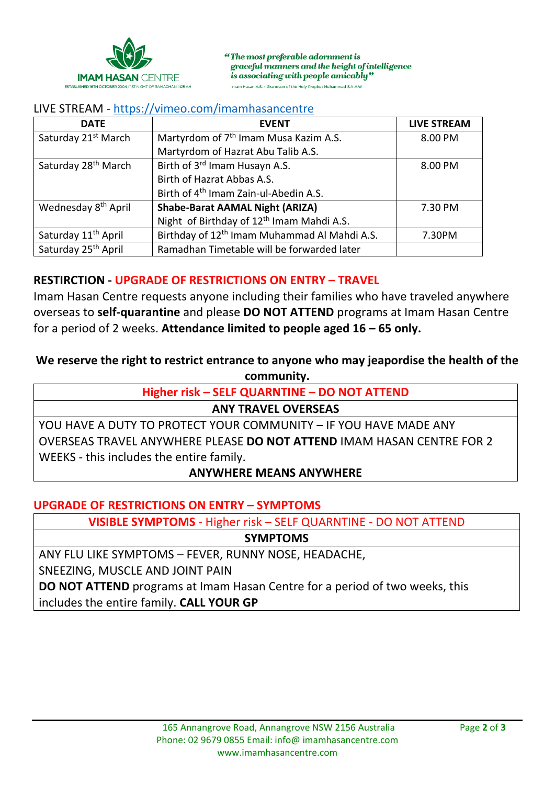

"The most preferable adornment is graceful manners and the height of intelligence is associating with people amicably" Imam Hasan A.S. - Grandson of the Holy Prophet Muhammad S.A.A.W

## LIVE STREAM - <https://vimeo.com/imamhasancentre>

| <b>DATE</b>                     | <b>EVENT</b>                                             | <b>LIVE STREAM</b> |
|---------------------------------|----------------------------------------------------------|--------------------|
| Saturday 21 <sup>st</sup> March | Martyrdom of 7 <sup>th</sup> Imam Musa Kazim A.S.        | 8.00 PM            |
|                                 | Martyrdom of Hazrat Abu Talib A.S.                       |                    |
| Saturday 28 <sup>th</sup> March | Birth of 3rd Imam Husayn A.S.                            | 8.00 PM            |
|                                 | Birth of Hazrat Abbas A.S.                               |                    |
|                                 | Birth of 4 <sup>th</sup> Imam Zain-ul-Abedin A.S.        |                    |
| Wednesday 8 <sup>th</sup> April | <b>Shabe-Barat AAMAL Night (ARIZA)</b>                   | 7.30 PM            |
|                                 | Night of Birthday of 12 <sup>th</sup> Imam Mahdi A.S.    |                    |
| Saturday 11 <sup>th</sup> April | Birthday of 12 <sup>th</sup> Imam Muhammad Al Mahdi A.S. | 7.30PM             |
| Saturday 25 <sup>th</sup> April | Ramadhan Timetable will be forwarded later               |                    |

## **RESTIRCTION - UPGRADE OF RESTRICTIONS ON ENTRY – TRAVEL**

Imam Hasan Centre requests anyone including their families who have traveled anywhere overseas to **self-quarantine** and please **DO NOT ATTEND** programs at Imam Hasan Centre for a period of 2 weeks. **Attendance limited to people aged 16 – 65 only.**

# **We reserve the right to restrict entrance to anyone who may jeapordise the health of the**

**community.**

**Higher risk – SELF QUARNTINE – DO NOT ATTEND**

#### **ANY TRAVEL OVERSEAS**

YOU HAVE A DUTY TO PROTECT YOUR COMMUNITY – IF YOU HAVE MADE ANY OVERSEAS TRAVEL ANYWHERE PLEASE **DO NOT ATTEND** IMAM HASAN CENTRE FOR 2 WEEKS - this includes the entire family.

#### **ANYWHERE MEANS ANYWHERE**

#### **UPGRADE OF RESTRICTIONS ON ENTRY – SYMPTOMS**

**VISIBLE SYMPTOMS** - Higher risk – SELF QUARNTINE - DO NOT ATTEND

**SYMPTOMS**

ANY FLU LIKE SYMPTOMS – FEVER, RUNNY NOSE, HEADACHE,

SNEEZING, MUSCLE AND JOINT PAIN

**DO NOT ATTEND** programs at Imam Hasan Centre for a period of two weeks, this includes the entire family. **CALL YOUR GP**